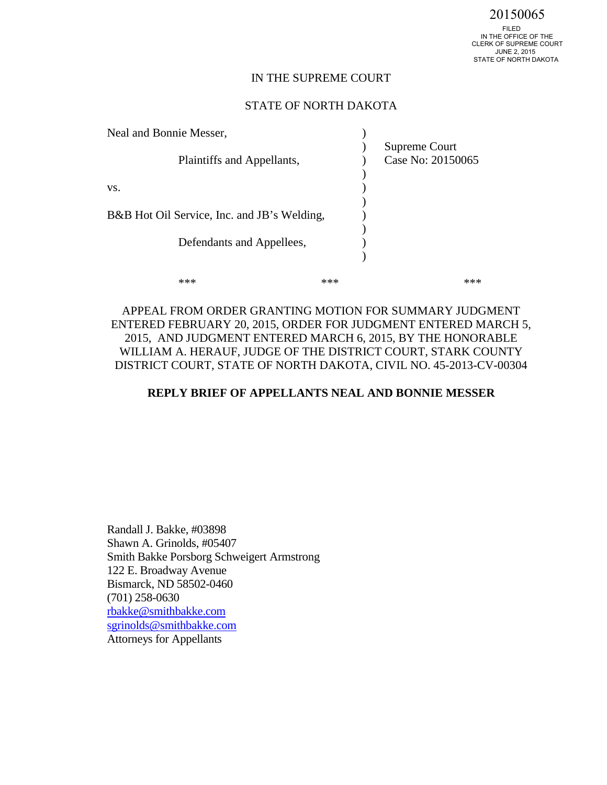### IN THE SUPREME COURT

### STATE OF NORTH DAKOTA

| Neal and Bonnie Messer,                     |     |                   |
|---------------------------------------------|-----|-------------------|
|                                             |     | Supreme Court     |
| Plaintiffs and Appellants,                  |     | Case No: 20150065 |
|                                             |     |                   |
| VS.                                         |     |                   |
|                                             |     |                   |
| B&B Hot Oil Service, Inc. and JB's Welding, |     |                   |
|                                             |     |                   |
| Defendants and Appellees,                   |     |                   |
|                                             |     |                   |
|                                             | *** |                   |
|                                             |     |                   |

APPEAL FROM ORDER GRANTING MOTION FOR SUMMARY JUDGMENT ENTERED FEBRUARY 20, 2015, ORDER FOR JUDGMENT ENTERED MARCH 5, 2015, AND JUDGMENT ENTERED MARCH 6, 2015, BY THE HONORABLE WILLIAM A. HERAUF, JUDGE OF THE DISTRICT COURT, STARK COUNTY DISTRICT COURT, STATE OF NORTH DAKOTA, CIVIL NO. 45-2013-CV-00304

### **REPLY BRIEF OF APPELLANTS NEAL AND BONNIE MESSER**

Randall J. Bakke, #03898 Shawn A. Grinolds, #05407 Smith Bakke Porsborg Schweigert Armstrong 122 E. Broadway Avenue Bismarck, ND 58502-0460 (701) 258-0630 [rbakke@smithbakke.com](mailto:rbakke@smithbakke.com) [sgrinolds@smithbakke.com](mailto:sgrinolds@smithbakke.com)  Attorneys for Appellants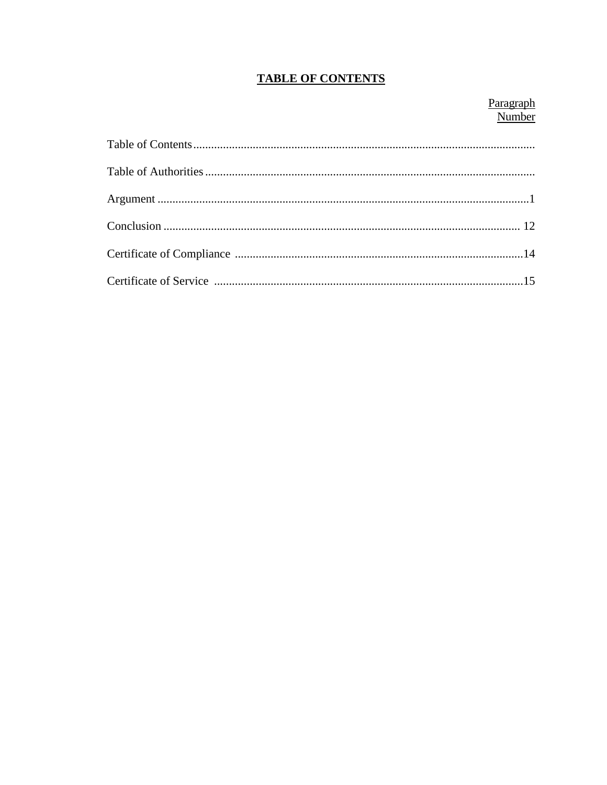# **TABLE OF CONTENTS**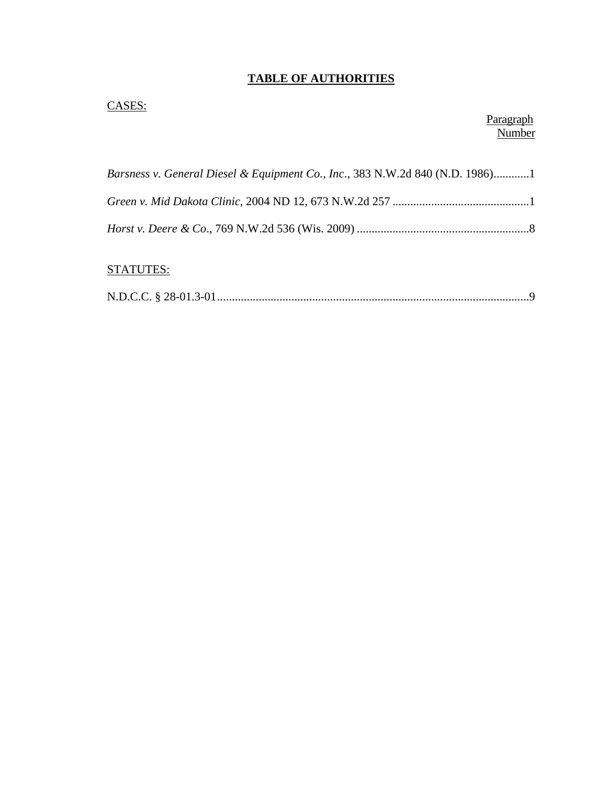# **TABLE OF AUTHORITIES**

## CASES:

### Paragraph Number

| Barsness v. General Diesel & Equipment Co., Inc., 383 N.W.2d 840 (N.D. 1986)1 |  |
|-------------------------------------------------------------------------------|--|
|                                                                               |  |
|                                                                               |  |

# STATUTES:

|--|--|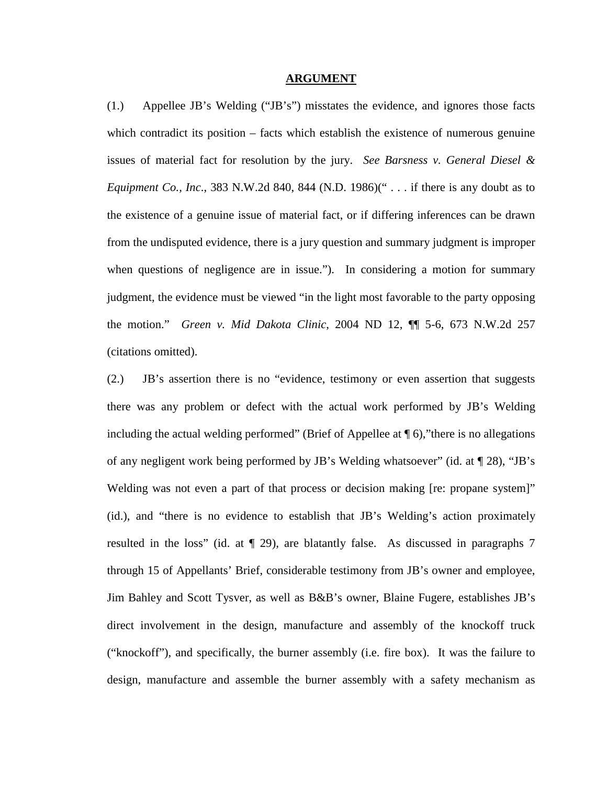#### **ARGUMENT**

(1.) Appellee JB's Welding ("JB's") misstates the evidence, and ignores those facts which contradict its position – facts which establish the existence of numerous genuine issues of material fact for resolution by the jury. *See Barsness v. General Diesel & Equipment Co., Inc*., 383 N.W.2d 840, 844 (N.D. 1986)(" . . . if there is any doubt as to the existence of a genuine issue of material fact, or if differing inferences can be drawn from the undisputed evidence, there is a jury question and summary judgment is improper when questions of negligence are in issue."). In considering a motion for summary judgment, the evidence must be viewed "in the light most favorable to the party opposing the motion." *Green v. Mid Dakota Clinic*, 2004 ND 12, ¶¶ 5-6, 673 N.W.2d 257 (citations omitted).

(2.) JB's assertion there is no "evidence, testimony or even assertion that suggests there was any problem or defect with the actual work performed by JB's Welding including the actual welding performed" (Brief of Appellee at  $\P$  6), "there is no allegations of any negligent work being performed by JB's Welding whatsoever" (id. at ¶ 28), "JB's Welding was not even a part of that process or decision making [re: propane system]" (id.), and "there is no evidence to establish that JB's Welding's action proximately resulted in the loss" (id. at ¶ 29), are blatantly false. As discussed in paragraphs 7 through 15 of Appellants' Brief, considerable testimony from JB's owner and employee, Jim Bahley and Scott Tysver, as well as B&B's owner, Blaine Fugere, establishes JB's direct involvement in the design, manufacture and assembly of the knockoff truck ("knockoff"), and specifically, the burner assembly (i.e. fire box). It was the failure to design, manufacture and assemble the burner assembly with a safety mechanism as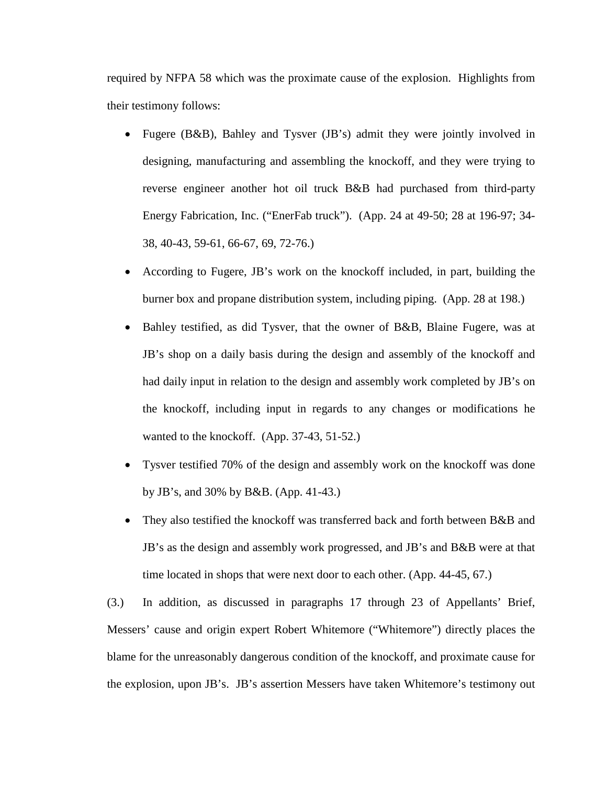required by NFPA 58 which was the proximate cause of the explosion. Highlights from their testimony follows:

- Fugere (B&B), Bahley and Tysver (JB's) admit they were jointly involved in designing, manufacturing and assembling the knockoff, and they were trying to reverse engineer another hot oil truck B&B had purchased from third-party Energy Fabrication, Inc. ("EnerFab truck"). (App. 24 at 49-50; 28 at 196-97; 34- 38, 40-43, 59-61, 66-67, 69, 72-76.)
- According to Fugere, JB's work on the knockoff included, in part, building the burner box and propane distribution system, including piping. (App. 28 at 198.)
- Bahley testified, as did Tysver, that the owner of B&B, Blaine Fugere, was at JB's shop on a daily basis during the design and assembly of the knockoff and had daily input in relation to the design and assembly work completed by JB's on the knockoff, including input in regards to any changes or modifications he wanted to the knockoff. (App. 37-43, 51-52.)
- Tysver testified 70% of the design and assembly work on the knockoff was done by JB's, and 30% by B&B. (App. 41-43.)
- They also testified the knockoff was transferred back and forth between B&B and JB's as the design and assembly work progressed, and JB's and B&B were at that time located in shops that were next door to each other. (App. 44-45, 67.)

(3.) In addition, as discussed in paragraphs 17 through 23 of Appellants' Brief, Messers' cause and origin expert Robert Whitemore ("Whitemore") directly places the blame for the unreasonably dangerous condition of the knockoff, and proximate cause for the explosion, upon JB's. JB's assertion Messers have taken Whitemore's testimony out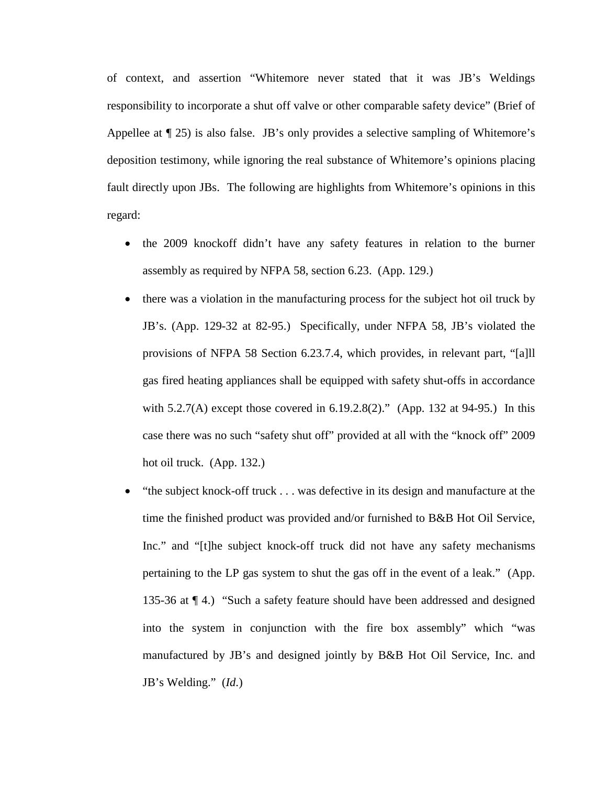of context, and assertion "Whitemore never stated that it was JB's Weldings responsibility to incorporate a shut off valve or other comparable safety device" (Brief of Appellee at ¶ 25) is also false. JB's only provides a selective sampling of Whitemore's deposition testimony, while ignoring the real substance of Whitemore's opinions placing fault directly upon JBs. The following are highlights from Whitemore's opinions in this regard:

- the 2009 knockoff didn't have any safety features in relation to the burner assembly as required by NFPA 58, section 6.23. (App. 129.)
- there was a violation in the manufacturing process for the subject hot oil truck by JB's. (App. 129-32 at 82-95.) Specifically, under NFPA 58, JB's violated the provisions of NFPA 58 Section 6.23.7.4, which provides, in relevant part, "[a]ll gas fired heating appliances shall be equipped with safety shut-offs in accordance with 5.2.7(A) except those covered in 6.19.2.8(2)." (App. 132 at 94-95.) In this case there was no such "safety shut off" provided at all with the "knock off" 2009 hot oil truck. (App. 132.)
- "the subject knock-off truck . . . was defective in its design and manufacture at the time the finished product was provided and/or furnished to B&B Hot Oil Service, Inc." and "[t]he subject knock-off truck did not have any safety mechanisms pertaining to the LP gas system to shut the gas off in the event of a leak." (App. 135-36 at ¶ 4.) "Such a safety feature should have been addressed and designed into the system in conjunction with the fire box assembly" which "was manufactured by JB's and designed jointly by B&B Hot Oil Service, Inc. and JB's Welding." (*Id*.)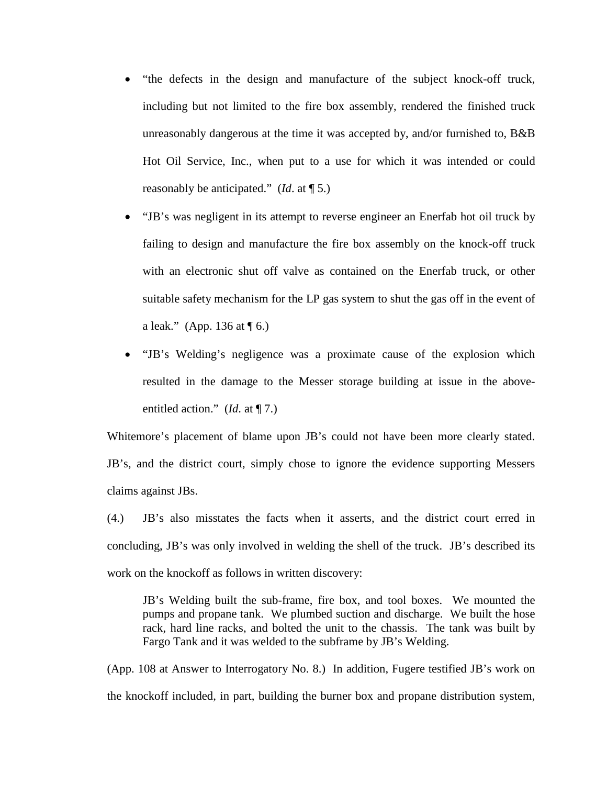- "the defects in the design and manufacture of the subject knock-off truck, including but not limited to the fire box assembly, rendered the finished truck unreasonably dangerous at the time it was accepted by, and/or furnished to, B&B Hot Oil Service, Inc., when put to a use for which it was intended or could reasonably be anticipated." (*Id*. at ¶ 5.)
- "JB's was negligent in its attempt to reverse engineer an Enerfab hot oil truck by failing to design and manufacture the fire box assembly on the knock-off truck with an electronic shut off valve as contained on the Enerfab truck, or other suitable safety mechanism for the LP gas system to shut the gas off in the event of a leak." (App. 136 at  $\P$  6.)
- "JB's Welding's negligence was a proximate cause of the explosion which resulted in the damage to the Messer storage building at issue in the aboveentitled action." (*Id*. at ¶ 7.)

Whitemore's placement of blame upon JB's could not have been more clearly stated. JB's, and the district court, simply chose to ignore the evidence supporting Messers claims against JBs.

(4.) JB's also misstates the facts when it asserts, and the district court erred in concluding, JB's was only involved in welding the shell of the truck. JB's described its work on the knockoff as follows in written discovery:

JB's Welding built the sub-frame, fire box, and tool boxes. We mounted the pumps and propane tank. We plumbed suction and discharge. We built the hose rack, hard line racks, and bolted the unit to the chassis. The tank was built by Fargo Tank and it was welded to the subframe by JB's Welding.

(App. 108 at Answer to Interrogatory No. 8.) In addition, Fugere testified JB's work on the knockoff included, in part, building the burner box and propane distribution system,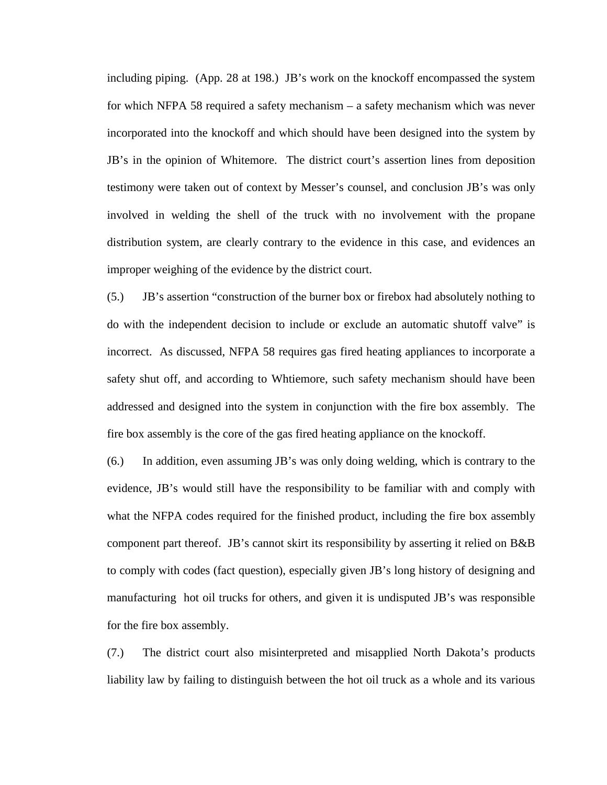including piping. (App. 28 at 198.) JB's work on the knockoff encompassed the system for which NFPA 58 required a safety mechanism – a safety mechanism which was never incorporated into the knockoff and which should have been designed into the system by JB's in the opinion of Whitemore. The district court's assertion lines from deposition testimony were taken out of context by Messer's counsel, and conclusion JB's was only involved in welding the shell of the truck with no involvement with the propane distribution system, are clearly contrary to the evidence in this case, and evidences an improper weighing of the evidence by the district court.

(5.) JB's assertion "construction of the burner box or firebox had absolutely nothing to do with the independent decision to include or exclude an automatic shutoff valve" is incorrect. As discussed, NFPA 58 requires gas fired heating appliances to incorporate a safety shut off, and according to Whtiemore, such safety mechanism should have been addressed and designed into the system in conjunction with the fire box assembly. The fire box assembly is the core of the gas fired heating appliance on the knockoff.

(6.) In addition, even assuming JB's was only doing welding, which is contrary to the evidence, JB's would still have the responsibility to be familiar with and comply with what the NFPA codes required for the finished product, including the fire box assembly component part thereof. JB's cannot skirt its responsibility by asserting it relied on B&B to comply with codes (fact question), especially given JB's long history of designing and manufacturing hot oil trucks for others, and given it is undisputed JB's was responsible for the fire box assembly.

(7.) The district court also misinterpreted and misapplied North Dakota's products liability law by failing to distinguish between the hot oil truck as a whole and its various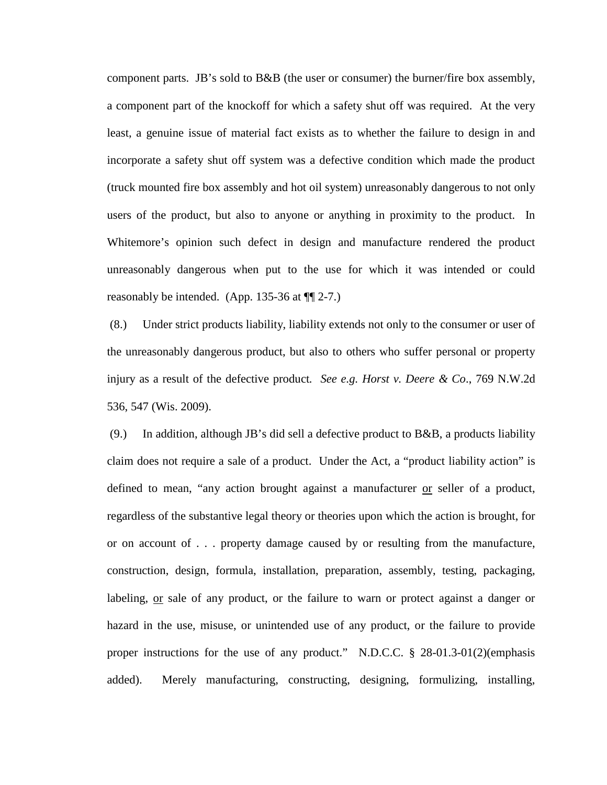component parts. JB's sold to B&B (the user or consumer) the burner/fire box assembly, a component part of the knockoff for which a safety shut off was required. At the very least, a genuine issue of material fact exists as to whether the failure to design in and incorporate a safety shut off system was a defective condition which made the product (truck mounted fire box assembly and hot oil system) unreasonably dangerous to not only users of the product, but also to anyone or anything in proximity to the product. In Whitemore's opinion such defect in design and manufacture rendered the product unreasonably dangerous when put to the use for which it was intended or could reasonably be intended. (App. 135-36 at ¶¶ 2-7.)

(8.) Under strict products liability, liability extends not only to the consumer or user of the unreasonably dangerous product, but also to others who suffer personal or property injury as a result of the defective product*. See e.g. Horst v. Deere & Co*., 769 N.W.2d 536, 547 (Wis. 2009).

(9.) In addition, although JB's did sell a defective product to B&B, a products liability claim does not require a sale of a product. Under the Act, a "product liability action" is defined to mean, "any action brought against a manufacturer or seller of a product, regardless of the substantive legal theory or theories upon which the action is brought, for or on account of . . . property damage caused by or resulting from the manufacture, construction, design, formula, installation, preparation, assembly, testing, packaging, labeling, or sale of any product, or the failure to warn or protect against a danger or hazard in the use, misuse, or unintended use of any product, or the failure to provide proper instructions for the use of any product." N.D.C.C. § 28-01.3-01(2)(emphasis added). Merely manufacturing, constructing, designing, formulizing, installing,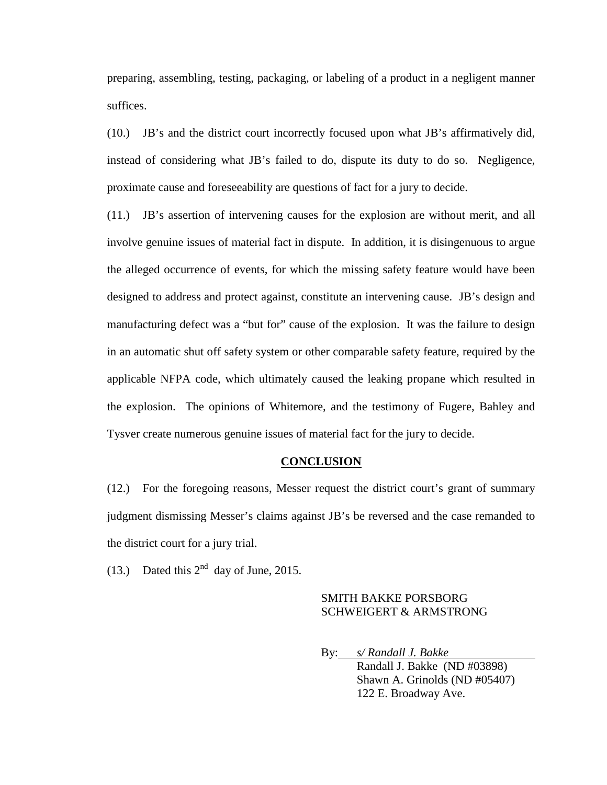preparing, assembling, testing, packaging, or labeling of a product in a negligent manner suffices.

(10.) JB's and the district court incorrectly focused upon what JB's affirmatively did, instead of considering what JB's failed to do, dispute its duty to do so. Negligence, proximate cause and foreseeability are questions of fact for a jury to decide.

(11.) JB's assertion of intervening causes for the explosion are without merit, and all involve genuine issues of material fact in dispute. In addition, it is disingenuous to argue the alleged occurrence of events, for which the missing safety feature would have been designed to address and protect against, constitute an intervening cause. JB's design and manufacturing defect was a "but for" cause of the explosion. It was the failure to design in an automatic shut off safety system or other comparable safety feature, required by the applicable NFPA code, which ultimately caused the leaking propane which resulted in the explosion. The opinions of Whitemore, and the testimony of Fugere, Bahley and Tysver create numerous genuine issues of material fact for the jury to decide.

### **CONCLUSION**

(12.) For the foregoing reasons, Messer request the district court's grant of summary judgment dismissing Messer's claims against JB's be reversed and the case remanded to the district court for a jury trial.

(13.) Dated this  $2^{nd}$  day of June, 2015.

### SMITH BAKKE PORSBORG SCHWEIGERT & ARMSTRONG

By: *s/ Randall J. Bakke*  Randall J. Bakke (ND #03898) Shawn A. Grinolds (ND #05407) 122 E. Broadway Ave.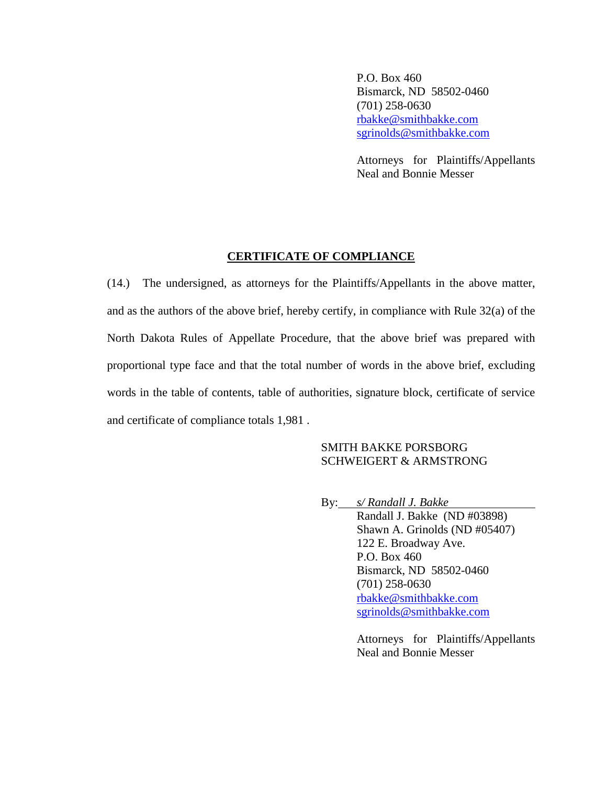P.O. Box 460 Bismarck, ND 58502-0460 (701) 258-0630 [rbakke@smithbakke.com](mailto:rbakke@smithbakke.com) [sgrinolds@smithbakke.com](mailto:sgrinolds@smithbakke.com)

Attorneys for Plaintiffs/Appellants Neal and Bonnie Messer

### **CERTIFICATE OF COMPLIANCE**

(14.) The undersigned, as attorneys for the Plaintiffs/Appellants in the above matter, and as the authors of the above brief, hereby certify, in compliance with Rule 32(a) of the North Dakota Rules of Appellate Procedure, that the above brief was prepared with proportional type face and that the total number of words in the above brief, excluding words in the table of contents, table of authorities, signature block, certificate of service and certificate of compliance totals 1,981 .

### SMITH BAKKE PORSBORG SCHWEIGERT & ARMSTRONG

By: *s/ Randall J. Bakke*  Randall J. Bakke (ND #03898) Shawn A. Grinolds (ND #05407) 122 E. Broadway Ave. P.O. Box 460 Bismarck, ND 58502-0460 (701) 258-0630 [rbakke@smithbakke.com](mailto:rbakke@smithbakke.com) [sgrinolds@smithbakke.com](mailto:sgrinolds@smithbakke.com)

> Attorneys for Plaintiffs/Appellants Neal and Bonnie Messer